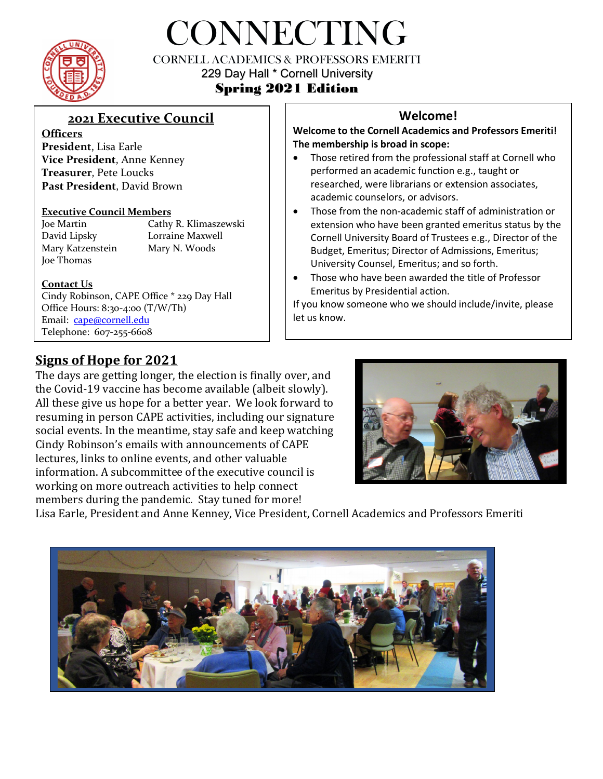

# CONNECTING

CORNELL ACADEMICS & PROFESSORS EMERITI 229 Day Hall \* Cornell University

# Spring 2021 Edition

# **2021 Executive Council**

**Officers President**, Lisa Earle **Vice President**, Anne Kenney **Treasurer**, Pete Loucks **Past President**, David Brown

### **Executive Council Members**

Joe Thomas

Joe Martin Cathy R. Klimaszewski David Lipsky Lorraine Maxwell Mary Katzenstein Mary N. Woods

### **Contact Us**

Cindy Robinson, CAPE Office \* 229 Day Hall Office Hours: 8:30-4:00 (T/W/Th) Email: [cape@cornell.edu](mailto:cape@cornell.edu) Telephone: 607-255-6608

## **Welcome!**

**Welcome to the Cornell Academics and Professors Emeriti! The membership is broad in scope:** 

- Those retired from the professional staff at Cornell who performed an academic function e.g., taught or researched, were librarians or extension associates, academic counselors, or advisors.
- Those from the non-academic staff of administration or extension who have been granted emeritus status by the Cornell University Board of Trustees e.g., Director of the Budget, Emeritus; Director of Admissions, Emeritus; University Counsel, Emeritus; and so forth.
- Those who have been awarded the title of Professor Emeritus by Presidential action.

If you know someone who we should include/invite, please let us know.

# **Signs of Hope for 2021**

The days are getting longer, the election is finally over, and the Covid-19 vaccine has become available (albeit slowly). All these give us hope for a better year. We look forward to resuming in person CAPE activities, including our signature social events. In the meantime, stay safe and keep watching Cindy Robinson's emails with announcements of CAPE lectures, links to online events, and other valuable information. A subcommittee of the executive council is working on more outreach activities to help connect members during the pandemic. Stay tuned for more!



Lisa Earle, President and Anne Kenney, Vice President, Cornell Academics and Professors Emeriti

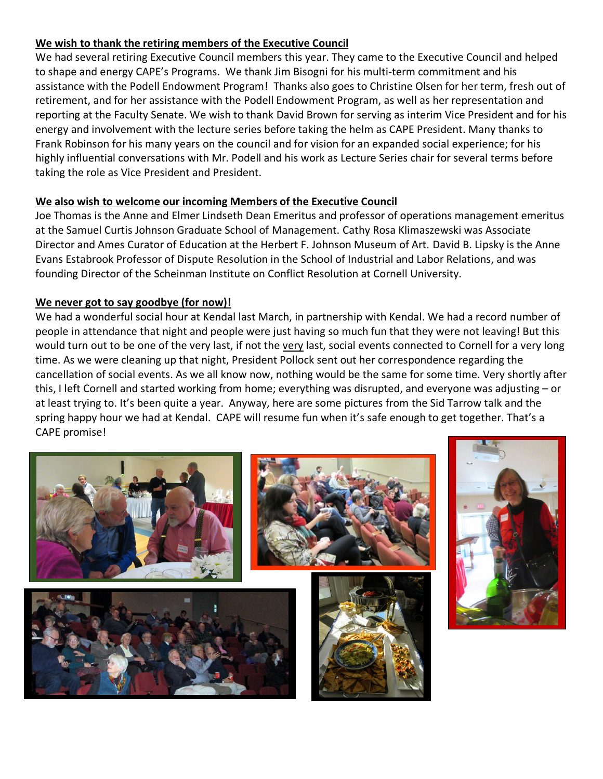### **We wish to thank the retiring members of the Executive Council**

We had several retiring Executive Council members this year. They came to the Executive Council and helped to shape and energy CAPE's Programs. We thank Jim Bisogni for his multi-term commitment and his assistance with the Podell Endowment Program! Thanks also goes to Christine Olsen for her term, fresh out of retirement, and for her assistance with the Podell Endowment Program, as well as her representation and reporting at the Faculty Senate. We wish to thank David Brown for serving as interim Vice President and for his energy and involvement with the lecture series before taking the helm as CAPE President. Many thanks to Frank Robinson for his many years on the council and for vision for an expanded social experience; for his highly influential conversations with Mr. Podell and his work as Lecture Series chair for several terms before taking the role as Vice President and President.

### **We also wish to welcome our incoming Members of the Executive Council**

Joe Thomas is the Anne and Elmer Lindseth Dean Emeritus and professor of operations management emeritus at the Samuel Curtis Johnson Graduate School of Management. Cathy Rosa Klimaszewski was Associate Director and Ames Curator of Education at the Herbert F. Johnson Museum of Art. David B. Lipsky is the Anne Evans Estabrook Professor of Dispute Resolution in the School of Industrial and Labor Relations, and was founding Director of the Scheinman Institute on Conflict Resolution at Cornell University.

### **We never got to say goodbye (for now)!**

We had a wonderful social hour at Kendal last March, in partnership with Kendal. We had a record number of people in attendance that night and people were just having so much fun that they were not leaving! But this would turn out to be one of the very last, if not the very last, social events connected to Cornell for a very long time. As we were cleaning up that night, President Pollock sent out her correspondence regarding the cancellation of social events. As we all know now, nothing would be the same for some time. Very shortly after this, I left Cornell and started working from home; everything was disrupted, and everyone was adjusting – or at least trying to. It's been quite a year. Anyway, here are some pictures from the Sid Tarrow talk and the spring happy hour we had at Kendal. CAPE will resume fun when it's safe enough to get together. That's a CAPE promise!

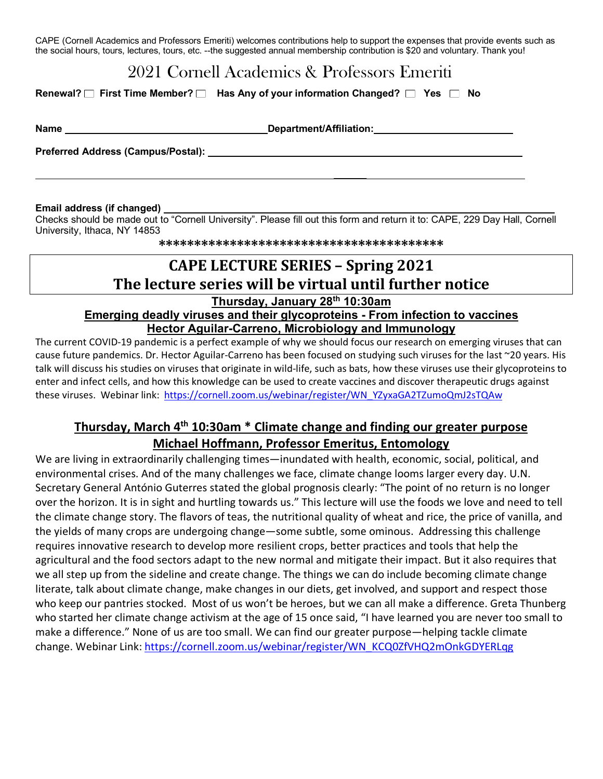CAPE (Cornell Academics and Professors Emeriti) welcomes contributions help to support the expenses that provide events such as the social hours, tours, lectures, tours, etc. --the suggested annual membership contribution is \$20 and voluntary. Thank you!

# 2021 Cornell Academics & Professors Emeriti

#### **Renewal?** □ First Time Member? □ Has Any of your information Changed? □ Yes □ No

**Name Department/Affiliation:** 

 **\_\_\_\_\_\_** 

**Preferred Address (Campus/Postal): \_\_\_\_\_\_\_\_** 

#### **Email address (if changed)**

Checks should be made out to "Cornell University". Please fill out this form and return it to: CAPE, 229 Day Hall, Cornell University, Ithaca, NY 14853

**\*\*\*\*\*\*\*\*\*\*\*\*\*\*\*\*\*\*\*\*\*\*\*\*\*\*\*\*\*\*\*\*\*\*\*\*\*\*\*\***

# **CAPE LECTURE SERIES – Spring 2021 The lecture series will be virtual until further notice**

**Thursday, January 28th 10:30am** 

### **Emerging deadly viruses and their glycoproteins - From infection to vaccines Hector Aguilar-Carreno, Microbiology and Immunology**

The current COVID-19 pandemic is a perfect example of why we should focus our research on emerging viruses that can cause future pandemics. Dr. Hector Aguilar-Carreno has been focused on studying such viruses for the last ~20 years. His talk will discuss his studies on viruses that originate in wild-life, such as bats, how these viruses use their glycoproteins to enter and infect cells, and how this knowledge can be used to create vaccines and discover therapeutic drugs against these viruses. Webinar link: [https://cornell.zoom.us/webinar/register/WN\\_YZyxaGA2TZumoQmJ2sTQAw](https://cornell.zoom.us/webinar/register/WN_YZyxaGA2TZumoQmJ2sTQAw)

## **Thursday, March 4th 10:30am \* Climate change and finding our greater purpose Michael Hoffmann, Professor Emeritus, Entomology**

We are living in extraordinarily challenging times—inundated with health, economic, social, political, and environmental crises. And of the many challenges we face, climate change looms larger every day. U.N. Secretary General António Guterres stated the global prognosis clearly: "The point of no return is no longer over the horizon. It is in sight and hurtling towards us." This lecture will use the foods we love and need to tell the climate change story. The flavors of teas, the nutritional quality of wheat and rice, the price of vanilla, and the yields of many crops are undergoing change—some subtle, some ominous. Addressing this challenge requires innovative research to develop more resilient crops, better practices and tools that help the agricultural and the food sectors adapt to the new normal and mitigate their impact. But it also requires that we all step up from the sideline and create change. The things we can do include becoming climate change literate, talk about climate change, make changes in our diets, get involved, and support and respect those who keep our pantries stocked. Most of us won't be heroes, but we can all make a difference. Greta Thunberg who started her climate change activism at the age of 15 once said, "I have learned you are never too small to make a difference." None of us are too small. We can find our greater purpose—helping tackle climate change. Webinar Link: [https://cornell.zoom.us/webinar/register/WN\\_KCQ0ZfVHQ2mOnkGDYERLqg](https://cornell.zoom.us/webinar/register/WN_KCQ0ZfVHQ2mOnkGDYERLqg)